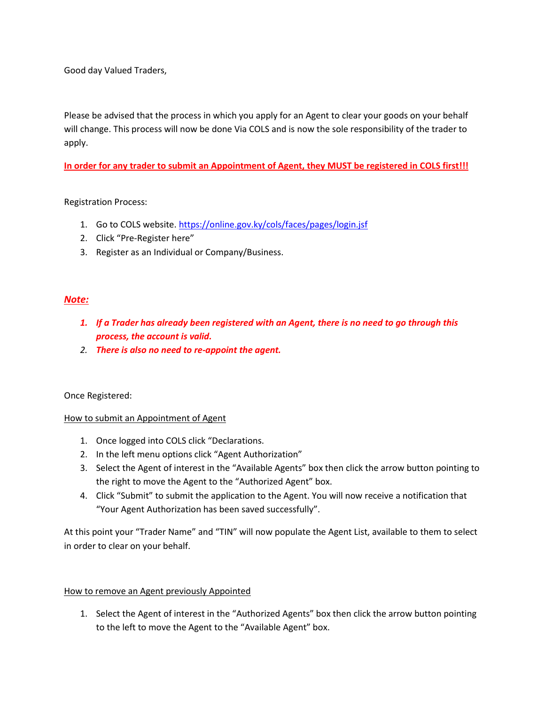Good day Valued Traders,

Please be advised that the process in which you apply for an Agent to clear your goods on your behalf will change. This process will now be done Via COLS and is now the sole responsibility of the trader to apply.

**In order for any trader to submit an Appointment of Agent, they MUST be registered in COLS first!!!**

Registration Process:

- 1. Go to COLS website.<https://online.gov.ky/cols/faces/pages/login.jsf>
- 2. Click "Pre-Register here"
- 3. Register as an Individual or Company/Business.

## *Note:*

- *1. If a Trader has already been registered with an Agent, there is no need to go through this process, the account is valid.*
- *2. There is also no need to re-appoint the agent.*

### Once Registered:

### How to submit an Appointment of Agent

- 1. Once logged into COLS click "Declarations.
- 2. In the left menu options click "Agent Authorization"
- 3. Select the Agent of interest in the "Available Agents" box then click the arrow button pointing to the right to move the Agent to the "Authorized Agent" box.
- 4. Click "Submit" to submit the application to the Agent. You will now receive a notification that "Your Agent Authorization has been saved successfully".

At this point your "Trader Name" and "TIN" will now populate the Agent List, available to them to select in order to clear on your behalf.

### How to remove an Agent previously Appointed

1. Select the Agent of interest in the "Authorized Agents" box then click the arrow button pointing to the left to move the Agent to the "Available Agent" box.